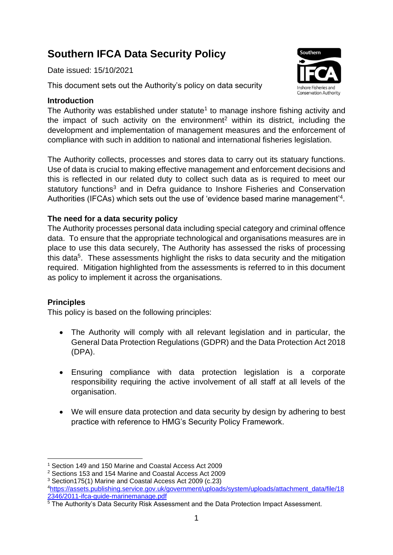# **Southern IFCA Data Security Policy**

Date issued: 15/10/2021

This document sets out the Authority's policy on data security

## **Introduction**

The Authority was established under statute<sup>1</sup> to manage inshore fishing activity and the impact of such activity on the environment<sup>2</sup> within its district, including the development and implementation of management measures and the enforcement of compliance with such in addition to national and international fisheries legislation.

The Authority collects, processes and stores data to carry out its statuary functions. Use of data is crucial to making effective management and enforcement decisions and this is reflected in our related duty to collect such data as is required to meet our statutory functions<sup>3</sup> and in Defra guidance to Inshore Fisheries and Conservation Authorities (IFCAs) which sets out the use of 'evidence based marine management'<sup>4</sup>.

# **The need for a data security policy**

The Authority processes personal data including special category and criminal offence data. To ensure that the appropriate technological and organisations measures are in place to use this data securely, The Authority has assessed the risks of processing this data<sup>5</sup>. These assessments highlight the risks to data security and the mitigation required. Mitigation highlighted from the assessments is referred to in this document as policy to implement it across the organisations.

# **Principles**

This policy is based on the following principles:

- The Authority will comply with all relevant legislation and in particular, the General Data Protection Regulations (GDPR) and the Data Protection Act 2018 (DPA).
- Ensuring compliance with data protection legislation is a corporate responsibility requiring the active involvement of all staff at all levels of the organisation.
- We will ensure data protection and data security by design by adhering to best practice with reference to HMG's Security Policy Framework.



<sup>1</sup> Section 149 and 150 Marine and Coastal Access Act 2009

<sup>2</sup> Sections 153 and 154 Marine and Coastal Access Act 2009

<sup>3</sup> Section175(1) Marine and Coastal Access Act 2009 (c.23)

<sup>4</sup>[https://assets.publishing.service.gov.uk/government/uploads/system/uploads/attachment\\_data/file/18](https://assets.publishing.service.gov.uk/government/uploads/system/uploads/attachment_data/file/182346/2011-ifca-guide-marinemanage.pdf) [2346/2011-ifca-guide-marinemanage.pdf](https://assets.publishing.service.gov.uk/government/uploads/system/uploads/attachment_data/file/182346/2011-ifca-guide-marinemanage.pdf)

 $\overline{5}$  The Authority's Data Security Risk Assessment and the Data Protection Impact Assessment.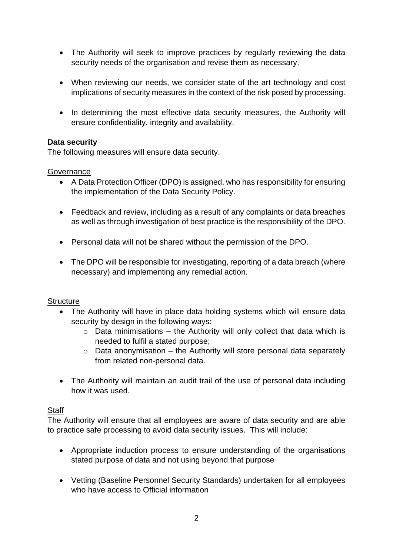- The Authority will seek to improve practices by regularly reviewing the data security needs of the organisation and revise them as necessary.
- When reviewing our needs, we consider state of the art technology and cost implications of security measures in the context of the risk posed by processing.
- In determining the most effective data security measures, the Authority will ensure confidentiality, integrity and availability.

## **Data security**

The following measures will ensure data security.

#### **Governance**

- A Data Protection Officer (DPO) is assigned, who has responsibility for ensuring the implementation of the Data Security Policy.
- Feedback and review, including as a result of any complaints or data breaches as well as through investigation of best practice is the responsibility of the DPO.
- Personal data will not be shared without the permission of the DPO.
- The DPO will be responsible for investigating, reporting of a data breach (where necessary) and implementing any remedial action.

#### **Structure**

- The Authority will have in place data holding systems which will ensure data security by design in the following ways:
	- $\circ$  Data minimisations the Authority will only collect that data which is needed to fulfil a stated purpose;
	- $\circ$  Data anonymisation the Authority will store personal data separately from related non-personal data.
- The Authority will maintain an audit trail of the use of personal data including how it was used.

#### **Staff**

The Authority will ensure that all employees are aware of data security and are able to practice safe processing to avoid data security issues. This will include:

- Appropriate induction process to ensure understanding of the organisations stated purpose of data and not using beyond that purpose
- Vetting (Baseline Personnel Security Standards) undertaken for all employees who have access to Official information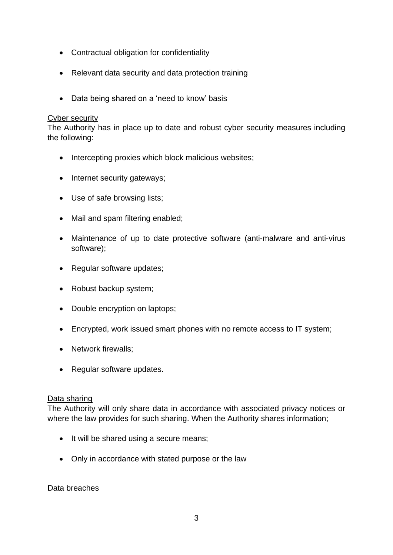- Contractual obligation for confidentiality
- Relevant data security and data protection training
- Data being shared on a 'need to know' basis

#### Cyber security

The Authority has in place up to date and robust cyber security measures including the following:

- Intercepting proxies which block malicious websites;
- Internet security gateways;
- Use of safe browsing lists;
- Mail and spam filtering enabled;
- Maintenance of up to date protective software (anti-malware and anti-virus software);
- Regular software updates;
- Robust backup system;
- Double encryption on laptops;
- Encrypted, work issued smart phones with no remote access to IT system;
- Network firewalls;
- Regular software updates.

#### Data sharing

The Authority will only share data in accordance with associated privacy notices or where the law provides for such sharing. When the Authority shares information;

- It will be shared using a secure means;
- Only in accordance with stated purpose or the law

# Data breaches